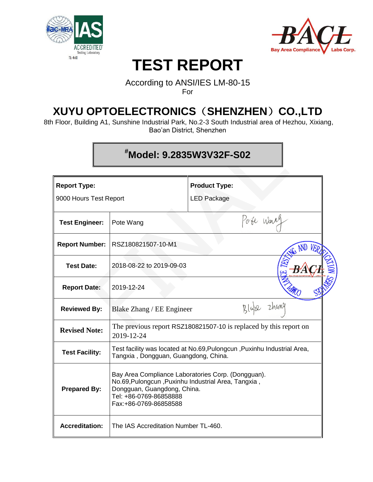



# **TEST REPORT**

### According to ANSI/IES LM-80-15 For

## **XUYU OPTOELECTRONICS**(**SHENZHEN**)**CO.,LTD**

8th Floor, Building A1, Sunshine Industrial Park, No.2-3 South Industrial area of Hezhou, Xixiang, Bao'an District, Shenzhen

## **#Model: 9.2835W3V32F-S02**

| <b>Report Type:</b>    |                                                                                                                                                                                             | <b>Product Type:</b>                                                    |  |  |  |  |  |
|------------------------|---------------------------------------------------------------------------------------------------------------------------------------------------------------------------------------------|-------------------------------------------------------------------------|--|--|--|--|--|
| 9000 Hours Test Report |                                                                                                                                                                                             | <b>LED Package</b>                                                      |  |  |  |  |  |
| <b>Test Engineer:</b>  | Pote Warr<br>Pote Wang                                                                                                                                                                      |                                                                         |  |  |  |  |  |
| <b>Report Number:</b>  | RSZ180821507-10-M1                                                                                                                                                                          |                                                                         |  |  |  |  |  |
| <b>Test Date:</b>      | 2018-08-22 to 2019-09-03                                                                                                                                                                    |                                                                         |  |  |  |  |  |
| <b>Report Date:</b>    | 2019-12-24                                                                                                                                                                                  |                                                                         |  |  |  |  |  |
| <b>Reviewed By:</b>    | Blake Zhang / EE Engineer                                                                                                                                                                   | Zhuny                                                                   |  |  |  |  |  |
| <b>Revised Note:</b>   | 2019-12-24                                                                                                                                                                                  | The previous report RSZ180821507-10 is replaced by this report on       |  |  |  |  |  |
| <b>Test Facility:</b>  | Tangxia, Dongguan, Guangdong, China.                                                                                                                                                        | Test facility was located at No.69, Pulongcun, Puxinhu Industrial Area, |  |  |  |  |  |
| <b>Prepared By:</b>    | Bay Area Compliance Laboratories Corp. (Dongguan).<br>No.69, Pulongcun, Puxinhu Industrial Area, Tangxia,<br>Dongguan, Guangdong, China.<br>Tel: +86-0769-86858888<br>Fax:+86-0769-86858588 |                                                                         |  |  |  |  |  |
| <b>Accreditation:</b>  | The IAS Accreditation Number TL-460.                                                                                                                                                        |                                                                         |  |  |  |  |  |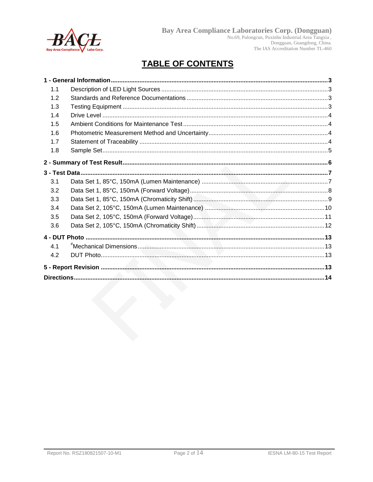

# Bay Area Compliance Laboratories Corp. (Dongguan)<br>
No.69, Pulongcun, Puxinhu Industrial Area Tangxia,<br>
Dongguan, Guangdong, China.<br>
The IAS Accreditation Number TL-460

## **TABLE OF CONTENTS**

| 1.1 |  |
|-----|--|
| 1.2 |  |
| 1.3 |  |
| 1.4 |  |
| 1.5 |  |
| 1.6 |  |
| 1.7 |  |
| 1.8 |  |
|     |  |
|     |  |
| 3.1 |  |
| 3.2 |  |
| 3.3 |  |
| 3.4 |  |
| 3.5 |  |
| 3.6 |  |
|     |  |
| 4.1 |  |
| 4.2 |  |
|     |  |
|     |  |
|     |  |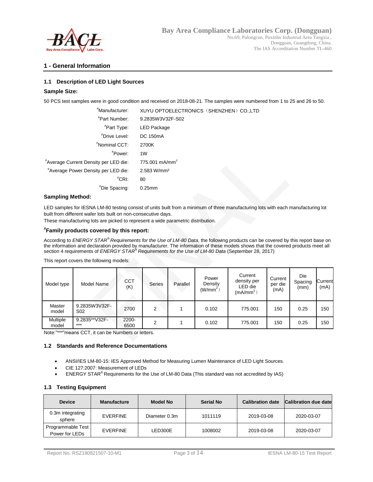

#### **1 - General Information**

#### **1.1 Description of LED Light Sources**

#### **Sample Size:**

50 PCS test samples were in good condition and received on 2018-08-21. The samples were numbered from 1 to 25 and 26 to 50.

| "Manufacturer:                        | XUYU OPTOELECTRONICS (SHENZHEN) CO.,LTD |
|---------------------------------------|-----------------------------------------|
| "Part Number:                         | 9.2835W3V32F-S02                        |
| "Part Type:                           | LED Package                             |
| "Drive Level:                         | <b>DC 150mA</b>                         |
| "Nominal CCT:                         | 2700K                                   |
| <sup>#</sup> Power:                   | 1W                                      |
| "Average Current Density per LED die: | 775.001 mA/mm <sup>2</sup>              |
| "Average Power Density per LED die:   | 2.583 W/mm <sup>2</sup>                 |
| $^{\#}$ CRI:                          | 80                                      |
| "Die Spacing:                         | $0.25$ mm                               |
|                                       |                                         |

#### **Sampling Method:**

LED samples for IESNA LM-80 testing consist of units built from a minimum of three manufacturing lots with each manufacturing lot built from different wafer lots built on non-consecutive days.

These manufacturing lots are picked to represent a wide parametric distribution.

#### **# Family products covered by this report:**

According to *ENERGY STAR® Requirements for the Use of LM-80 Data*, the following products can be covered by this report base on the information and declaration provided by manufacturer. The information of these models shows that the covered products meet all section 4 requirements of *ENERGY STAR® Requirements for the Use of LM-80 Data* (September 28, 2017)

| Model type               | Model Name                       | <b>CCT</b><br>(K) | Series | Parallel | Power<br>Density<br>$(W/mm^2)$ | Current<br>density per<br>LED die<br>(mA/mm <sup>2</sup> ) | Current<br>per die<br>(mA) | Die<br>Spacing<br>(mm) | Current<br>(mA) |
|--------------------------|----------------------------------|-------------------|--------|----------|--------------------------------|------------------------------------------------------------|----------------------------|------------------------|-----------------|
| Master<br>model          | 9.2835W3V32F-<br>S <sub>02</sub> | 2700              | 2      |          | 0.102                          | 775.001                                                    | 150                        | 0.25                   | 150             |
| <b>Multiple</b><br>model | 9.2835**V32F-<br>$***$           | $2200 -$<br>6500  | っ      |          | 0.102                          | 775.001                                                    | 150                        | 0.25                   | 150             |

This report covers the following models:

Note:"\*\*\*"means CCT, it can be Numbers or letters.

#### **1.2 Standards and Reference Documentations**

- ANSI/IES LM-80-15: IES Approved Method for Measuring Lumen Maintenance of LED Light Sources.
- CIE 127:2007: Measurement of LEDs
- ENERGY STAR® Requirements for the Use of LM-80 Data (This standard was not accredited by IAS)

#### **1.3 Testing Equipment**

| <b>Device</b>                       | <b>Manufacture</b> | <b>Model No</b> | <b>Serial No</b> | <b>Calibration date</b> | <b>Calibration due date</b> |
|-------------------------------------|--------------------|-----------------|------------------|-------------------------|-----------------------------|
| 0.3m integrating<br>sphere          | EVERFINE           | Diameter 0.3m   | 1011119          | 2019-03-08              | 2020-03-07                  |
| Programmable Test<br>Power for LEDs | EVERFINE           | ED300E          | 1008002          | 2019-03-08              | 2020-03-07                  |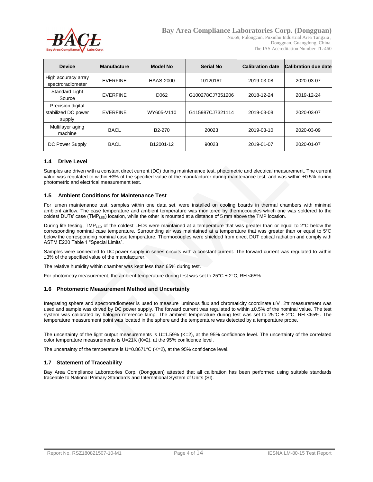

No.69, Pulongcun, Puxinhu Industrial Area Tangxia , Dongguan, Guangdong, China. The IAS Accreditation Number TL-460

| <b>Device</b>                                      | <b>Manufacture</b> | <b>Model No</b>     | <b>Serial No</b> | <b>Calibration date</b> | Calibration due date |
|----------------------------------------------------|--------------------|---------------------|------------------|-------------------------|----------------------|
| High accuracy array<br>spectroradiometer           | <b>EVERFINE</b>    | <b>HAAS-2000</b>    | 1012016T         | 2019-03-08              | 2020-03-07           |
| <b>Standard Light</b><br><b>EVERFINE</b><br>Source |                    | D <sub>062</sub>    | G100278CJ7351206 | 2018-12-24              | 2019-12-24           |
| Precision digital<br>stabilized DC power<br>supply | <b>EVERFINE</b>    | WY605-V110          | G115987CJ7321114 | 2019-03-08              | 2020-03-07           |
| Multilayer aging<br>machine                        | <b>BACL</b>        | B <sub>2</sub> -270 | 20023            | 2019-03-10              | 2020-03-09           |
| DC Power Supply                                    | <b>BACL</b>        | B12001-12           | 90023            | 2019-01-07              | 2020-01-07           |

#### **1.4 Drive Level**

Samples are driven with a constant direct current (DC) during maintenance test, photometric and electrical measurement. The current value was regulated to within ±3% of the specified value of the manufacturer during maintenance test, and was within ±0.5% during photometric and electrical measurement test.

#### **1.5 Ambient Conditions for Maintenance Test**

For lumen maintenance test, samples within one data set, were installed on cooling boards in thermal chambers with minimal ambient airflow. The case temperature and ambient temperature was monitored by thermocouples which one was soldered to the coldest DUTs' case (TMP<sub>LED</sub>) location, while the other is mounted at a distance of 5 mm above the TMP location.

During life testing, TMP<sub>LED</sub> of the coldest LEDs were maintained at a temperature that was greater than or equal to  $2^{\circ}$ C below the corresponding nominal case temperature. Surrounding air was maintained at a temperature that was greater than or equal to 5°C below the corresponding nominal case temperature. Thermocouples were shielded from direct DUT optical radiation and comply with ASTM E230 Table 1 "Special Limits".

Samples were connected to DC power supply in series circuits with a constant current. The forward current was regulated to within ±3% of the specified value of the manufacturer.

The relative humidity within chamber was kept less than 65% during test.

For photometry measurement, the ambient temperature during test was set to  $25^{\circ}$ C  $\pm$  2 $^{\circ}$ C, RH <65%.

#### **1.6 Photometric Measurement Method and Uncertainty**

Integrating sphere and spectroradiometer is used to measure luminous flux and chromaticity coordinate u'v'. 2π measurement was used and sample was drived by DC power supply. The forward current was regulated to within ±0.5% of the nominal value. The test system was calibrated by halogen reference lamp. The ambient temperature during test was set to  $25^{\circ}$ C  $\pm$  2°C, RH <65%. The temperature measurement point was located in the sphere and the temperature was detected by a temperature probe.

The uncertainty of the light output measurements is U=1.59% (K=2), at the 95% confidence level. The uncertainty of the correlated color temperature measurements is U=21K (K=2), at the 95% confidence level.

The uncertainty of the temperature is U=0.8671°C (K=2), at the 95% confidence level.

#### **1.7 Statement of Traceability**

Bay Area Compliance Laboratories Corp. (Dongguan) attested that all calibration has been performed using suitable standards traceable to National Primary Standards and International System of Units (SI).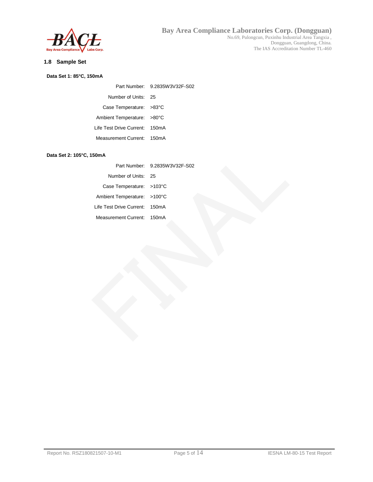

#### **1.8 Sample Set**

#### **Data Set 1: 85°C, 150mA**

|                                | Part Number: 9.2835W3V32F-S02 |
|--------------------------------|-------------------------------|
| Number of Units: 25            |                               |
| Case Temperature: >83°C        |                               |
| Ambient Temperature: >80°C     |                               |
| Life Test Drive Current: 150mA |                               |
| Measurement Current: 150mA     |                               |

#### **Data Set 2: 105°C, 150mA**

|                                    | Part Number: 9.2835W3V32F-S02 |
|------------------------------------|-------------------------------|
| Number of Units: 25                |                               |
| Case Temperature: $>103^{\circ}$ C |                               |
| Ambient Temperature: >100°C        |                               |
| Life Test Drive Current: 150mA     |                               |
| Measurement Current: 150mA         |                               |
|                                    |                               |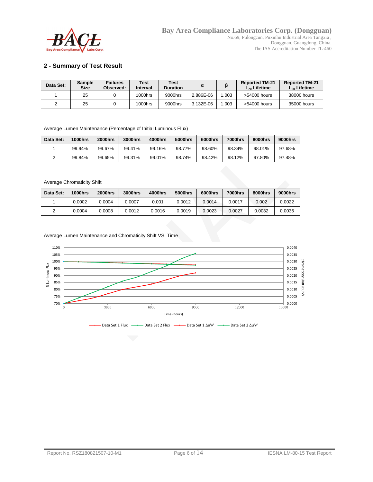

#### **2 - Summary of Test Result**

| Data Set: | <b>Sample</b><br><b>Size</b> | <b>Failures</b><br>Observed: | Test<br>Interval | <b>Test</b><br><b>Duration</b> |           |       | <b>Reported TM-21</b><br>$L_{70}$ Lifetime | <b>Reported TM-21</b><br>$L_{90}$ Lifetime |
|-----------|------------------------------|------------------------------|------------------|--------------------------------|-----------|-------|--------------------------------------------|--------------------------------------------|
|           | 25                           |                              | 1000hrs          | 9000hrs                        | 2.886E-06 | 1.003 | $>54000$ hours                             | 38000 hours                                |
|           | 25                           |                              | 1000hrs          | 9000hrs                        | 3.132E-06 | 1.003 | >54000 hours                               | 35000 hours                                |

Average Lumen Maintenance (Percentage of Initial Luminous Flux)

| Data Set: | <b>1000hrs</b> | <b>2000hrs</b> | 3000hrs | 4000hrs | 5000hrs | 6000hrs | 7000hrs | 8000hrs | 9000hrs |
|-----------|----------------|----------------|---------|---------|---------|---------|---------|---------|---------|
|           | 99.94%         | 99.67%         | 99.41%  | 99.16%  | 98.77%  | 98.60%  | 98.34%  | 98.01%  | 97.68%  |
|           | 99.84%         | 99.65%         | 99.31%  | 99.01%  | 98.74%  | 98.42%  | 98.12%  | 97.80%  | 97.48%  |

#### Average Chromaticity Shift

| Data Set: | <b>1000hrs</b> | <b>2000hrs</b> | 3000hrs | 4000hrs | 5000hrs | 6000hrs | 7000hrs | 8000hrs | 9000hrs |
|-----------|----------------|----------------|---------|---------|---------|---------|---------|---------|---------|
|           | 0.0002         | 0.0004         | 0.0007  | 0.001   | 0.0012  | 0.0014  | 0.0017  | 0.002   | 0.0022  |
|           | 0.0004         | 0.0008         | 0.0012  | 0.0016  | 0.0019  | 0.0023  | 0.0027  | 0.0032  | 0.0036  |

Average Lumen Maintenance and Chromaticity Shift VS. Time

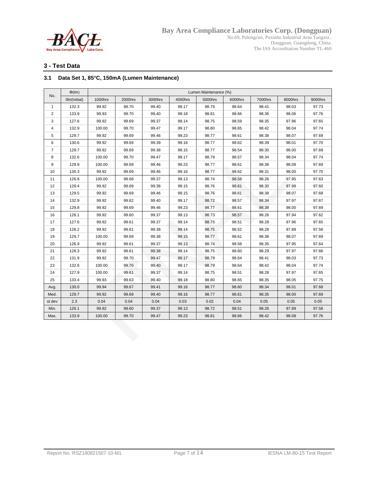

Dongguan, Guangdong, China. The IAS Accreditation Number TL-460

#### **3 - Test Data**

#### **3.1 Data Set 1, 85°C, 150mA (Lumen Maintenance)**

|                | $\Phi$ (Im)  |         |         |         |         | Lumen Maintenance (%) |         |         |         |         |
|----------------|--------------|---------|---------|---------|---------|-----------------------|---------|---------|---------|---------|
| No.            | Ohr(Initial) | 1000hrs | 2000hrs | 3000hrs | 4000hrs | 5000hrs               | 6000hrs | 7000hrs | 8000hrs | 9000hrs |
| $\mathbf{1}$   | 132.3        | 99.92   | 99.70   | 99.40   | 99.17   | 98.79                 | 98.64   | 98.41   | 98.03   | 97.73   |
| $\overline{2}$ | 133.9        | 99.93   | 99.70   | 99.40   | 99.18   | 98.81                 | 98.66   | 98.36   | 98.06   | 97.76   |
| 3              | 127.6        | 99.92   | 99.69   | 99.37   | 99.14   | 98.75                 | 98.59   | 98.35   | 97.96   | 97.65   |
| 4              | 132.9        | 100.00  | 99.70   | 99.47   | 99.17   | 98.80                 | 98.65   | 98.42   | 98.04   | 97.74   |
| 5              | 129.7        | 99.92   | 99.69   | 99.46   | 99.23   | 98.77                 | 98.61   | 98.38   | 98.07   | 97.69   |
| 6              | 130.6        | 99.92   | 99.69   | 99.39   | 99.16   | 98.77                 | 98.62   | 98.39   | 98.01   | 97.70   |
| $\overline{7}$ | 129.7        | 99.92   | 99.69   | 99.38   | 99.15   | 98.77                 | 98.54   | 98.30   | 98.00   | 97.69   |
| 8              | 132.6        | 100.00  | 99.70   | 99.47   | 99.17   | 98.79                 | 98.57   | 98.34   | 98.04   | 97.74   |
| 9              | 129.9        | 100.00  | 99.69   | 99.46   | 99.23   | 98.77                 | 98.61   | 98.38   | 98.08   | 97.69   |
| 10             | 130.3        | 99.92   | 99.69   | 99.46   | 99.16   | 98.77                 | 98.62   | 98.31   | 98.00   | 97.70   |
| 11             | 126.8        | 100.00  | 99.68   | 99.37   | 99.13   | 98.74                 | 98.58   | 98.26   | 97.95   | 97.63   |
| 12             | 129.4        | 99.92   | 99.69   | 99.38   | 99.15   | 98.76                 | 98.61   | 98.30   | 97.99   | 97.60   |
| 13             | 129.5        | 99.92   | 99.69   | 99.46   | 99.15   | 98.76                 | 98.61   | 98.38   | 98.07   | 97.68   |
| 14             | 132.9        | 99.92   | 99.62   | 99.40   | 99.17   | 98.72                 | 98.57   | 98.34   | 97.97   | 97.67   |
| 15             | 129.8        | 99.92   | 99.69   | 99.46   | 99.23   | 98.77                 | 98.61   | 98.38   | 98.00   | 97.69   |
| 16             | 126.1        | 99.92   | 99.60   | 99.37   | 99.13   | 98.73                 | 98.57   | 98.26   | 97.94   | 97.62   |
| 17             | 127.6        | 99.92   | 99.61   | 99.37   | 99.14   | 98.75                 | 98.51   | 98.28   | 97.96   | 97.65   |
| 18             | 128.2        | 99.92   | 99.61   | 99.38   | 99.14   | 98.75                 | 98.52   | 98.28   | 97.89   | 97.58   |
| 19             | 129.7        | 100.00  | 99.69   | 99.38   | 99.15   | 98.77                 | 98.61   | 98.38   | 98.07   | 97.69   |
| 20             | 126.9        | 99.92   | 99.61   | 99.37   | 99.13   | 98.74                 | 98.58   | 98.35   | 97.95   | 97.64   |
| 21             | 128.3        | 99.92   | 99.61   | 99.38   | 99.14   | 98.75                 | 98.60   | 98.29   | 97.97   | 97.66   |
| 22             | 131.9        | 99.92   | 99.70   | 99.47   | 99.17   | 98.79                 | 98.64   | 98.41   | 98.03   | 97.73   |
| 23             | 132.6        | 100.00  | 99.70   | 99.40   | 99.17   | 98.79                 | 98.64   | 98.42   | 98.04   | 97.74   |
| 24             | 127.9        | 100.00  | 99.61   | 99.37   | 99.14   | 98.75                 | 98.51   | 98.28   | 97.97   | 97.65   |
| 25             | 133.4        | 99.93   | 99.63   | 99.40   | 99.18   | 98.80                 | 98.65   | 98.35   | 98.05   | 97.75   |
| Avg.           | 130.0        | 99.94   | 99.67   | 99.41   | 99.16   | 98.77                 | 98.60   | 98.34   | 98.01   | 97.68   |
| Med.           | 129.7        | 99.92   | 99.69   | 99.40   | 99.16   | 98.77                 | 98.61   | 98.35   | 98.00   | 97.69   |
| st dev         | 2.3          | 0.04    | 0.04    | 0.04    | 0.03    | 0.02                  | 0.04    | 0.05    | 0.05    | 0.05    |
| Min.           | 126.1        | 99.92   | 99.60   | 99.37   | 99.13   | 98.72                 | 98.51   | 98.26   | 97.89   | 97.58   |
| Max.           | 133.9        | 100.00  | 99.70   | 99.47   | 99.23   | 98.81                 | 98.66   | 98.42   | 98.08   | 97.76   |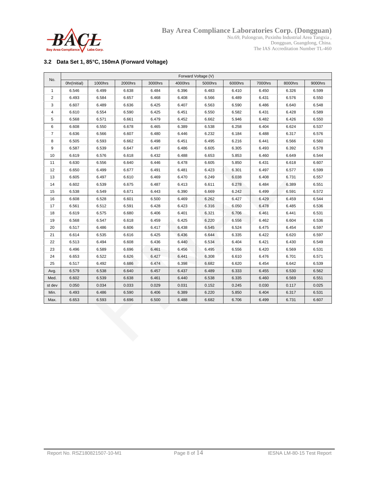

**Bay Area Compliance Laboratories Corp. (Dongguan)** No.69, Pulongcun, Puxinhu Industrial Area Tangxia , Dongguan, Guangdong, China.

The IAS Accreditation Number TL-460

#### **3.2 Data Set 1, 85°C, 150mA (Forward Voltage)**

| No.            | Forward Voltage (V) |         |         |         |         |         |         |         |         |         |
|----------------|---------------------|---------|---------|---------|---------|---------|---------|---------|---------|---------|
|                | Ohr(Initial)        | 1000hrs | 2000hrs | 3000hrs | 4000hrs | 5000hrs | 6000hrs | 7000hrs | 8000hrs | 9000hrs |
| 1              | 6.546               | 6.499   | 6.638   | 6.484   | 6.396   | 6.483   | 6.410   | 6.450   | 6.326   | 6.599   |
| 2              | 6.493               | 6.584   | 6.657   | 6.468   | 6.408   | 6.566   | 6.489   | 6.431   | 6.576   | 6.550   |
| 3              | 6.607               | 6.489   | 6.636   | 6.425   | 6.407   | 6.563   | 6.590   | 6.486   | 6.640   | 6.548   |
| 4              | 6.610               | 6.554   | 6.590   | 6.425   | 6.451   | 6.550   | 6.582   | 6.431   | 6.428   | 6.589   |
| 5              | 6.568               | 6.571   | 6.661   | 6.479   | 6.452   | 6.662   | 5.946   | 6.482   | 6.426   | 6.550   |
| 6              | 6.608               | 6.550   | 6.678   | 6.465   | 6.389   | 6.538   | 6.258   | 6.404   | 6.624   | 6.537   |
| $\overline{7}$ | 6.636               | 6.566   | 6.607   | 6.480   | 6.446   | 6.232   | 6.184   | 6.488   | 6.317   | 6.576   |
| 8              | 6.505               | 6.593   | 6.662   | 6.498   | 6.451   | 6.495   | 6.216   | 6.441   | 6.566   | 6.560   |
| 9              | 6.587               | 6.539   | 6.647   | 6.497   | 6.486   | 6.605   | 6.305   | 6.493   | 6.392   | 6.578   |
| 10             | 6.619               | 6.576   | 6.618   | 6.432   | 6.488   | 6.653   | 5.853   | 6.460   | 6.649   | 6.544   |
| 11             | 6.630               | 6.556   | 6.640   | 6.446   | 6.478   | 6.605   | 5.850   | 6.431   | 6.618   | 6.607   |
| 12             | 6.650               | 6.499   | 6.677   | 6.491   | 6.481   | 6.423   | 6.301   | 6.497   | 6.577   | 6.599   |
| 13             | 6.605               | 6.497   | 6.610   | 6.469   | 6.470   | 6.249   | 6.038   | 6.408   | 6.731   | 6.557   |
| 14             | 6.602               | 6.539   | 6.675   | 6.487   | 6.413   | 6.611   | 6.278   | 6.484   | 6.389   | 6.551   |
| 15             | 6.538               | 6.549   | 6.671   | 6.443   | 6.390   | 6.669   | 6.242   | 6.499   | 6.591   | 6.572   |
| 16             | 6.608               | 6.528   | 6.601   | 6.500   | 6.469   | 6.262   | 6.427   | 6.429   | 6.459   | 6.544   |
| 17             | 6.561               | 6.512   | 6.591   | 6.428   | 6.423   | 6.316   | 6.050   | 6.478   | 6.485   | 6.536   |
| 18             | 6.619               | 6.575   | 6.680   | 6.406   | 6.401   | 6.321   | 6.706   | 6.461   | 6.441   | 6.531   |
| 19             | 6.568               | 6.547   | 6.618   | 6.459   | 6.425   | 6.220   | 6.556   | 6.462   | 6.604   | 6.536   |
| 20             | 6.517               | 6.486   | 6.606   | 6.417   | 6.438   | 6.545   | 6.524   | 6.475   | 6.454   | 6.597   |
| 21             | 6.614               | 6.535   | 6.616   | 6.425   | 6.436   | 6.644   | 6.335   | 6.422   | 6.620   | 6.597   |
| 22             | 6.513               | 6.494   | 6.608   | 6.436   | 6.440   | 6.534   | 6.404   | 6.421   | 6.430   | 6.549   |
| 23             | 6.496               | 6.589   | 6.696   | 6.461   | 6.456   | 6.495   | 6.556   | 6.420   | 6.569   | 6.531   |
| 24             | 6.653               | 6.522   | 6.626   | 6.427   | 6.441   | 6.308   | 6.610   | 6.476   | 6.701   | 6.571   |
| 25             | 6.517               | 6.492   | 6.686   | 6.474   | 6.398   | 6.682   | 6.620   | 6.454   | 6.642   | 6.539   |
| Avg.           | 6.579               | 6.538   | 6.640   | 6.457   | 6.437   | 6.489   | 6.333   | 6.455   | 6.530   | 6.562   |
| Med.           | 6.602               | 6.539   | 6.638   | 6.461   | 6.440   | 6.538   | 6.335   | 6.460   | 6.569   | 6.551   |
| st dev         | 0.050               | 0.034   | 0.033   | 0.029   | 0.031   | 0.152   | 0.245   | 0.030   | 0.117   | 0.025   |
| Min.           | 6.493               | 6.486   | 6.590   | 6.406   | 6.389   | 6.220   | 5.850   | 6.404   | 6.317   | 6.531   |
| Max.           | 6.653               | 6.593   | 6.696   | 6.500   | 6.488   | 6.682   | 6.706   | 6.499   | 6.731   | 6.607   |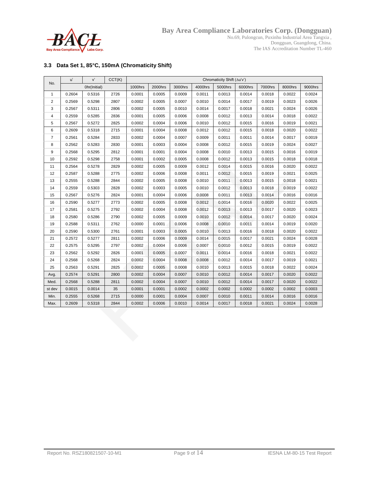

No.69, Pulongcun, Puxinhu Industrial Area Tangxia , Dongguan, Guangdong, China. The IAS Accreditation Number TL-460

#### **3.3 Data Set 1, 85°C, 150mA (Chromaticity Shift)**

| No.                     | u'     | v'           | CCT(K) | Chromaticity Shift (Au'v') |         |         |         |         |         |         |         |         |
|-------------------------|--------|--------------|--------|----------------------------|---------|---------|---------|---------|---------|---------|---------|---------|
|                         |        | Ohr(Initial) |        | 1000hrs                    | 2000hrs | 3000hrs | 4000hrs | 5000hrs | 6000hrs | 7000hrs | 8000hrs | 9000hrs |
| $\mathbf{1}$            | 0.2604 | 0.5316       | 2726   | 0.0001                     | 0.0005  | 0.0009  | 0.0011  | 0.0013  | 0.0014  | 0.0018  | 0.0022  | 0.0024  |
| $\overline{\mathbf{c}}$ | 0.2569 | 0.5298       | 2807   | 0.0002                     | 0.0005  | 0.0007  | 0.0010  | 0.0014  | 0.0017  | 0.0019  | 0.0023  | 0.0026  |
| 3                       | 0.2567 | 0.5311       | 2806   | 0.0002                     | 0.0005  | 0.0010  | 0.0014  | 0.0017  | 0.0018  | 0.0021  | 0.0024  | 0.0026  |
| 4                       | 0.2559 | 0.5285       | 2836   | 0.0001                     | 0.0005  | 0.0006  | 0.0008  | 0.0012  | 0.0013  | 0.0014  | 0.0018  | 0.0022  |
| 5                       | 0.2567 | 0.5272       | 2825   | 0.0002                     | 0.0004  | 0.0006  | 0.0010  | 0.0012  | 0.0015  | 0.0016  | 0.0019  | 0.0021  |
| 6                       | 0.2609 | 0.5318       | 2715   | 0.0001                     | 0.0004  | 0.0008  | 0.0012  | 0.0012  | 0.0015  | 0.0018  | 0.0020  | 0.0022  |
| $\overline{7}$          | 0.2561 | 0.5284       | 2833   | 0.0002                     | 0.0004  | 0.0007  | 0.0009  | 0.0011  | 0.0011  | 0.0014  | 0.0017  | 0.0019  |
| 8                       | 0.2562 | 0.5283       | 2830   | 0.0001                     | 0.0003  | 0.0004  | 0.0008  | 0.0012  | 0.0015  | 0.0019  | 0.0024  | 0.0027  |
| 9                       | 0.2568 | 0.5295       | 2812   | 0.0001                     | 0.0001  | 0.0004  | 0.0008  | 0.0010  | 0.0013  | 0.0015  | 0.0016  | 0.0019  |
| 10                      | 0.2592 | 0.5298       | 2758   | 0.0001                     | 0.0002  | 0.0005  | 0.0008  | 0.0012  | 0.0013  | 0.0015  | 0.0018  | 0.0018  |
| 11                      | 0.2564 | 0.5278       | 2829   | 0.0002                     | 0.0005  | 0.0009  | 0.0012  | 0.0014  | 0.0015  | 0.0016  | 0.0020  | 0.0022  |
| 12                      | 0.2587 | 0.5288       | 2775   | 0.0002                     | 0.0006  | 0.0008  | 0.0011  | 0.0012  | 0.0015  | 0.0019  | 0.0021  | 0.0025  |
| 13                      | 0.2555 | 0.5288       | 2844   | 0.0002                     | 0.0005  | 0.0008  | 0.0010  | 0.0011  | 0.0013  | 0.0015  | 0.0018  | 0.0021  |
| 14                      | 0.2559 | 0.5303       | 2828   | 0.0002                     | 0.0003  | 0.0005  | 0.0010  | 0.0012  | 0.0013  | 0.0018  | 0.0019  | 0.0022  |
| 15                      | 0.2567 | 0.5276       | 2824   | 0.0001                     | 0.0004  | 0.0006  | 0.0008  | 0.0011  | 0.0013  | 0.0014  | 0.0016  | 0.0016  |
| 16                      | 0.2590 | 0.5277       | 2773   | 0.0002                     | 0.0005  | 0.0008  | 0.0012  | 0.0014  | 0.0016  | 0.0020  | 0.0022  | 0.0025  |
| 17                      | 0.2581 | 0.5275       | 2792   | 0.0002                     | 0.0004  | 0.0008  | 0.0012  | 0.0013  | 0.0013  | 0.0017  | 0.0020  | 0.0023  |
| 18                      | 0.2580 | 0.5286       | 2790   | 0.0002                     | 0.0005  | 0.0009  | 0.0010  | 0.0012  | 0.0014  | 0.0017  | 0.0020  | 0.0024  |
| 19                      | 0.2588 | 0.5311       | 2762   | 0.0000                     | 0.0001  | 0.0006  | 0.0008  | 0.0010  | 0.0011  | 0.0014  | 0.0019  | 0.0020  |
| 20                      | 0.2590 | 0.5300       | 2761   | 0.0001                     | 0.0003  | 0.0005  | 0.0010  | 0.0013  | 0.0016  | 0.0018  | 0.0020  | 0.0022  |
| 21                      | 0.2572 | 0.5277       | 2811   | 0.0002                     | 0.0006  | 0.0009  | 0.0014  | 0.0015  | 0.0017  | 0.0021  | 0.0024  | 0.0028  |
| 22                      | 0.2575 | 0.5295       | 2797   | 0.0002                     | 0.0004  | 0.0006  | 0.0007  | 0.0010  | 0.0012  | 0.0015  | 0.0019  | 0.0022  |
| 23                      | 0.2562 | 0.5292       | 2826   | 0.0001                     | 0.0005  | 0.0007  | 0.0011  | 0.0014  | 0.0016  | 0.0018  | 0.0021  | 0.0022  |
| 24                      | 0.2568 | 0.5268       | 2824   | 0.0002                     | 0.0004  | 0.0008  | 0.0008  | 0.0012  | 0.0014  | 0.0017  | 0.0019  | 0.0021  |
| 25                      | 0.2563 | 0.5291       | 2825   | 0.0002                     | 0.0005  | 0.0008  | 0.0010  | 0.0013  | 0.0015  | 0.0018  | 0.0022  | 0.0024  |
| Avg.                    | 0.2574 | 0.5291       | 2800   | 0.0002                     | 0.0004  | 0.0007  | 0.0010  | 0.0012  | 0.0014  | 0.0017  | 0.0020  | 0.0022  |
| Med.                    | 0.2568 | 0.5288       | 2811   | 0.0002                     | 0.0004  | 0.0007  | 0.0010  | 0.0012  | 0.0014  | 0.0017  | 0.0020  | 0.0022  |
| st dev                  | 0.0015 | 0.0014       | 35     | 0.0001                     | 0.0001  | 0.0002  | 0.0002  | 0.0002  | 0.0002  | 0.0002  | 0.0002  | 0.0003  |
| Min.                    | 0.2555 | 0.5268       | 2715   | 0.0000                     | 0.0001  | 0.0004  | 0.0007  | 0.0010  | 0.0011  | 0.0014  | 0.0016  | 0.0016  |
| Max.                    | 0.2609 | 0.5318       | 2844   | 0.0002                     | 0.0006  | 0.0010  | 0.0014  | 0.0017  | 0.0018  | 0.0021  | 0.0024  | 0.0028  |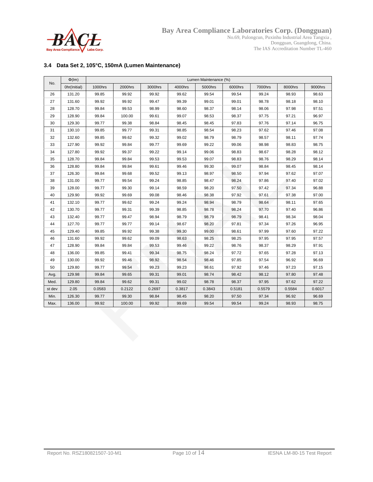

Dongguan, Guangdong, China. The IAS Accreditation Number TL-460

#### **3.4 Data Set 2, 105°C, 150mA (Lumen Maintenance)**

| No.    | $\Phi$ (Im)  | Lumen Maintenance (%) |         |         |         |         |         |         |         |         |
|--------|--------------|-----------------------|---------|---------|---------|---------|---------|---------|---------|---------|
|        | Ohr(Initial) | 1000hrs               | 2000hrs | 3000hrs | 4000hrs | 5000hrs | 6000hrs | 7000hrs | 8000hrs | 9000hrs |
| 26     | 131.20       | 99.85                 | 99.92   | 99.92   | 99.62   | 99.54   | 99.54   | 99.24   | 98.93   | 98.63   |
| 27     | 131.60       | 99.92                 | 99.92   | 99.47   | 99.39   | 99.01   | 99.01   | 98.78   | 98.18   | 98.10   |
| 28     | 128.70       | 99.84                 | 99.53   | 98.99   | 98.60   | 98.37   | 98.14   | 98.06   | 97.98   | 97.51   |
| 29     | 128.90       | 99.84                 | 100.00  | 99.61   | 99.07   | 98.53   | 98.37   | 97.75   | 97.21   | 96.97   |
| 30     | 129.30       | 99.77                 | 99.38   | 98.84   | 98.45   | 98.45   | 97.83   | 97.76   | 97.14   | 96.75   |
| 31     | 130.10       | 99.85                 | 99.77   | 99.31   | 98.85   | 98.54   | 98.23   | 97.62   | 97.46   | 97.08   |
| 32     | 132.60       | 99.85                 | 99.62   | 99.32   | 99.02   | 98.79   | 98.79   | 98.57   | 98.11   | 97.74   |
| 33     | 127.90       | 99.92                 | 99.84   | 99.77   | 99.69   | 99.22   | 99.06   | 98.98   | 98.83   | 98.75   |
| 34     | 127.80       | 99.92                 | 99.37   | 99.22   | 99.14   | 99.06   | 98.83   | 98.67   | 98.28   | 98.12   |
| 35     | 128.70       | 99.84                 | 99.84   | 99.53   | 99.53   | 99.07   | 98.83   | 98.76   | 98.29   | 98.14   |
| 36     | 128.80       | 99.84                 | 99.84   | 99.61   | 99.46   | 99.30   | 99.07   | 98.84   | 98.45   | 98.14   |
| 37     | 126.30       | 99.84                 | 99.68   | 99.52   | 99.13   | 98.97   | 98.50   | 97.94   | 97.62   | 97.07   |
| 38     | 131.00       | 99.77                 | 99.54   | 99.24   | 98.85   | 98.47   | 98.24   | 97.86   | 97.40   | 97.02   |
| 39     | 128.00       | 99.77                 | 99.30   | 99.14   | 98.59   | 98.20   | 97.50   | 97.42   | 97.34   | 96.88   |
| 40     | 129.90       | 99.92                 | 99.69   | 99.08   | 98.46   | 98.38   | 97.92   | 97.61   | 97.38   | 97.00   |
| 41     | 132.10       | 99.77                 | 99.62   | 99.24   | 99.24   | 98.94   | 98.79   | 98.64   | 98.11   | 97.65   |
| 42     | 130.70       | 99.77                 | 99.31   | 99.39   | 98.85   | 98.78   | 98.24   | 97.70   | 97.40   | 96.86   |
| 43     | 132.40       | 99.77                 | 99.47   | 98.94   | 98.79   | 98.79   | 98.79   | 98.41   | 98.34   | 98.04   |
| 44     | 127.70       | 99.77                 | 99.77   | 99.14   | 98.67   | 98.20   | 97.81   | 97.34   | 97.26   | 96.95   |
| 45     | 129.40       | 99.85                 | 99.92   | 99.38   | 99.30   | 99.00   | 98.61   | 97.99   | 97.60   | 97.22   |
| 46     | 131.60       | 99.92                 | 99.62   | 99.09   | 98.63   | 98.25   | 98.25   | 97.95   | 97.95   | 97.57   |
| 47     | 128.90       | 99.84                 | 99.84   | 99.53   | 99.46   | 99.22   | 98.76   | 98.37   | 98.29   | 97.91   |
| 48     | 136.00       | 99.85                 | 99.41   | 99.34   | 98.75   | 98.24   | 97.72   | 97.65   | 97.28   | 97.13   |
| 49     | 130.00       | 99.92                 | 99.46   | 98.92   | 98.54   | 98.46   | 97.85   | 97.54   | 96.92   | 96.69   |
| 50     | 129.80       | 99.77                 | 99.54   | 99.23   | 99.23   | 98.61   | 97.92   | 97.46   | 97.23   | 97.15   |
| Avg.   | 129.98       | 99.84                 | 99.65   | 99.31   | 99.01   | 98.74   | 98.42   | 98.12   | 97.80   | 97.48   |
| Med.   | 129.80       | 99.84                 | 99.62   | 99.31   | 99.02   | 98.78   | 98.37   | 97.95   | 97.62   | 97.22   |
| st dev | 2.05         | 0.0583                | 0.2122  | 0.2697  | 0.3817  | 0.3843  | 0.5181  | 0.5579  | 0.5584  | 0.6017  |
| Min.   | 126.30       | 99.77                 | 99.30   | 98.84   | 98.45   | 98.20   | 97.50   | 97.34   | 96.92   | 96.69   |
| Max.   | 136.00       | 99.92                 | 100.00  | 99.92   | 99.69   | 99.54   | 99.54   | 99.24   | 98.93   | 98.75   |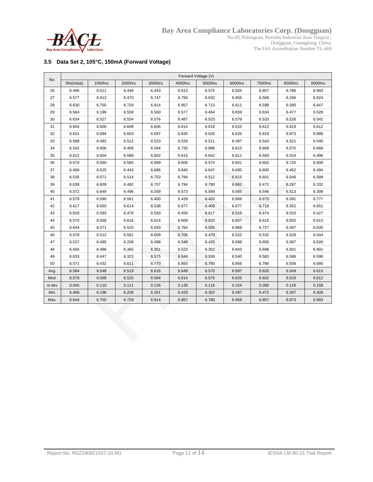

The IAS Accreditation Number TL-460

#### **3.5 Data Set 2, 105°C, 150mA (Forward Voltage)**

| No.    | Forward Voltage (V) |         |         |         |         |         |         |         |         |         |
|--------|---------------------|---------|---------|---------|---------|---------|---------|---------|---------|---------|
|        | Ohr(Initial)        | 1000hrs | 2000hrs | 3000hrs | 4000hrs | 5000hrs | 6000hrs | 7000hrs | 8000hrs | 9000hrs |
| 26     | 6.495               | 6.511   | 6.448   | 6.443   | 6.613   | 6.575   | 6.925   | 6.857   | 6.786   | 6.993   |
| 27     | 6.577               | 6.413   | 6.470   | 6.747   | 6.756   | 6.632   | 6.956   | 6.569   | 6.346   | 6.624   |
| 28     | 6.630               | 6.750   | 6.729   | 6.914   | 6.957   | 6.713   | 6.611   | 6.599   | 6.580   | 6.647   |
| 29     | 6.564               | 6.196   | 6.558   | 6.560   | 6.577   | 6.464   | 6.659   | 6.634   | 6.477   | 6.528   |
| 30     | 6.634               | 6.527   | 6.554   | 6.576   | 6.487   | 6.523   | 6.579   | 6.533   | 6.526   | 6.542   |
| 31     | 6.604               | 6.600   | 6.608   | 6.606   | 6.614   | 6.618   | 6.610   | 6.612   | 6.619   | 6.612   |
| 32     | 6.631               | 6.694   | 6.663   | 6.697   | 6.635   | 6.626   | 6.625   | 6.619   | 6.873   | 6.888   |
| 33     | 6.598               | 6.482   | 6.512   | 6.523   | 6.526   | 6.511   | 6.497   | 6.543   | 6.521   | 6.540   |
| 34     | 6.542               | 6.656   | 6.468   | 6.594   | 6.735   | 6.686   | 6.613   | 6.669   | 6.570   | 6.666   |
| 35     | 6.612               | 6.604   | 6.588   | 6.602   | 6.615   | 6.642   | 6.611   | 6.593   | 6.524   | 6.496   |
| 36     | 6.570               | 6.560   | 6.585   | 6.899   | 6.606   | 6.574   | 6.601   | 6.602   | 6.725   | 6.608   |
| 37     | 6.468               | 6.525   | 6.443   | 6.686   | 6.840   | 6.647   | 6.695   | 6.600   | 6.452   | 6.494   |
| 38     | 6.535               | 6.571   | 6.514   | 6.753   | 6.794   | 6.512   | 6.815   | 6.601   | 6.546   | 6.589   |
| 39     | 6.638               | 6.609   | 6.482   | 6.707   | 6.794   | 6.780   | 6.862   | 6.472   | 6.287   | 6.332   |
| 40     | 6.572               | 6.649   | 6.496   | 6.559   | 6.573   | 6.569   | 6.565   | 6.546   | 6.513   | 6.309   |
| 41     | 6.579               | 6.590   | 6.561   | 6.400   | 6.429   | 6.400   | 6.966   | 6.675   | 6.591   | 6.777   |
| 42     | 6.617               | 6.650   | 6.614   | 6.538   | 6.677   | 6.409   | 6.677   | 6.716   | 6.352   | 6.651   |
| 43     | 6.620               | 6.593   | 6.478   | 6.593   | 6.450   | 6.617   | 6.515   | 6.474   | 6.533   | 6.427   |
| 44     | 6.576               | 6.568   | 6.616   | 6.614   | 6.609   | 6.620   | 6.607   | 6.615   | 6.602   | 6.613   |
| 45     | 6.644               | 6.571   | 6.525   | 6.593   | 6.764   | 6.585   | 6.968   | 6.727   | 6.497   | 6.635   |
| 46     | 6.578               | 6.512   | 6.561   | 6.609   | 6.706   | 6.470   | 6.522   | 6.532   | 6.528   | 6.544   |
| 47     | 6.537               | 6.495   | 6.208   | 6.488   | 6.548   | 6.425   | 6.698   | 6.650   | 6.587   | 6.626   |
| 48     | 6.566               | 6.486   | 6.365   | 6.351   | 6.523   | 6.302   | 6.843   | 6.698   | 6.601   | 6.901   |
| 49     | 6.633               | 6.447   | 6.323   | 6.575   | 6.544   | 6.559   | 6.540   | 6.583   | 6.586   | 6.596   |
| 50     | 6.571               | 6.432   | 6.611   | 6.770   | 6.850   | 6.780   | 6.856   | 6.786   | 6.506   | 6.680   |
| Avg.   | 6.584               | 6.548   | 6.519   | 6.616   | 6.649   | 6.570   | 6.697   | 6.620   | 6.549   | 6.613   |
| Med.   | 6.578               | 6.568   | 6.525   | 6.594   | 6.614   | 6.575   | 6.625   | 6.602   | 6.533   | 6.612   |
| st dev | 0.045               | 0.110   | 0.111   | 0.135   | 0.135   | 0.116   | 0.154   | 0.090   | 0.126   | 0.158   |
| Min.   | 6.468               | 6.196   | 6.208   | 6.351   | 6.429   | 6.302   | 6.497   | 6.472   | 6.287   | 6.309   |
| Max.   | 6.644               | 6.750   | 6.729   | 6.914   | 6.957   | 6.780   | 6.968   | 6.857   | 6.873   | 6.993   |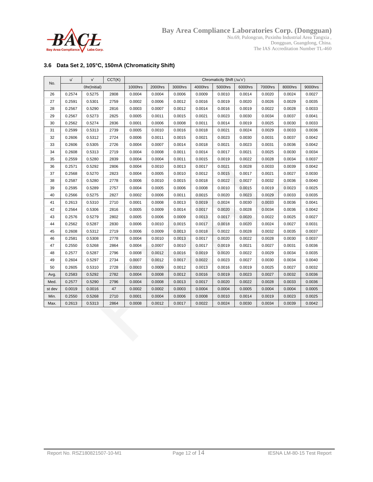

No.69, Pulongcun, Puxinhu Industrial Area Tangxia , Dongguan, Guangdong, China. The IAS Accreditation Number TL-460

#### **3.6 Data Set 2, 105°C, 150mA (Chromaticity Shift)**

| No.    | u'     | v'           | CCT(K) | Chromaticity Shift (Au'v') |         |         |         |         |         |         |         |         |
|--------|--------|--------------|--------|----------------------------|---------|---------|---------|---------|---------|---------|---------|---------|
|        |        | Ohr(Initial) |        | 1000hrs                    | 2000hrs | 3000hrs | 4000hrs | 5000hrs | 6000hrs | 7000hrs | 8000hrs | 9000hrs |
| 26     | 0.2574 | 0.5275       | 2808   | 0.0004                     | 0.0004  | 0.0006  | 0.0009  | 0.0010  | 0.0014  | 0.0020  | 0.0024  | 0.0027  |
| 27     | 0.2591 | 0.5301       | 2759   | 0.0002                     | 0.0006  | 0.0012  | 0.0016  | 0.0019  | 0.0020  | 0.0026  | 0.0029  | 0.0035  |
| 28     | 0.2567 | 0.5290       | 2816   | 0.0003                     | 0.0007  | 0.0012  | 0.0014  | 0.0016  | 0.0019  | 0.0022  | 0.0028  | 0.0033  |
| 29     | 0.2567 | 0.5273       | 2825   | 0.0005                     | 0.0011  | 0.0015  | 0.0021  | 0.0023  | 0.0030  | 0.0034  | 0.0037  | 0.0041  |
| 30     | 0.2562 | 0.5274       | 2836   | 0.0001                     | 0.0006  | 0.0008  | 0.0011  | 0.0014  | 0.0019  | 0.0025  | 0.0030  | 0.0033  |
| 31     | 0.2599 | 0.5313       | 2739   | 0.0005                     | 0.0010  | 0.0016  | 0.0018  | 0.0021  | 0.0024  | 0.0029  | 0.0033  | 0.0036  |
| 32     | 0.2606 | 0.5312       | 2724   | 0.0006                     | 0.0011  | 0.0015  | 0.0021  | 0.0023  | 0.0030  | 0.0031  | 0.0037  | 0.0042  |
| 33     | 0.2606 | 0.5305       | 2726   | 0.0004                     | 0.0007  | 0.0014  | 0.0018  | 0.0021  | 0.0023  | 0.0031  | 0.0036  | 0.0042  |
| 34     | 0.2608 | 0.5313       | 2719   | 0.0004                     | 0.0008  | 0.0011  | 0.0014  | 0.0017  | 0.0021  | 0.0025  | 0.0030  | 0.0034  |
| 35     | 0.2559 | 0.5280       | 2839   | 0.0004                     | 0.0004  | 0.0011  | 0.0015  | 0.0019  | 0.0022  | 0.0028  | 0.0034  | 0.0037  |
| 36     | 0.2571 | 0.5292       | 2806   | 0.0004                     | 0.0010  | 0.0013  | 0.0017  | 0.0021  | 0.0028  | 0.0033  | 0.0039  | 0.0042  |
| 37     | 0.2568 | 0.5270       | 2823   | 0.0004                     | 0.0005  | 0.0010  | 0.0012  | 0.0015  | 0.0017  | 0.0021  | 0.0027  | 0.0030  |
| 38     | 0.2587 | 0.5280       | 2778   | 0.0006                     | 0.0010  | 0.0015  | 0.0018  | 0.0022  | 0.0027  | 0.0032  | 0.0036  | 0.0040  |
| 39     | 0.2595 | 0.5289       | 2757   | 0.0004                     | 0.0005  | 0.0006  | 0.0008  | 0.0010  | 0.0015  | 0.0019  | 0.0023  | 0.0025  |
| 40     | 0.2566 | 0.5275       | 2827   | 0.0002                     | 0.0006  | 0.0011  | 0.0015  | 0.0020  | 0.0023  | 0.0029  | 0.0033  | 0.0035  |
| 41     | 0.2613 | 0.5310       | 2710   | 0.0001                     | 0.0008  | 0.0013  | 0.0019  | 0.0024  | 0.0030  | 0.0033  | 0.0036  | 0.0041  |
| 42     | 0.2564 | 0.5306       | 2816   | 0.0005                     | 0.0009  | 0.0014  | 0.0017  | 0.0020  | 0.0028  | 0.0034  | 0.0036  | 0.0042  |
| 43     | 0.2576 | 0.5279       | 2802   | 0.0005                     | 0.0006  | 0.0009  | 0.0013  | 0.0017  | 0.0020  | 0.0022  | 0.0025  | 0.0027  |
| 44     | 0.2562 | 0.5287       | 2830   | 0.0006                     | 0.0010  | 0.0015  | 0.0017  | 0.0018  | 0.0020  | 0.0024  | 0.0027  | 0.0031  |
| 45     | 0.2608 | 0.5312       | 2719   | 0.0006                     | 0.0009  | 0.0013  | 0.0018  | 0.0022  | 0.0028  | 0.0032  | 0.0035  | 0.0037  |
| 46     | 0.2581 | 0.5308       | 2778   | 0.0004                     | 0.0010  | 0.0013  | 0.0017  | 0.0020  | 0.0022  | 0.0028  | 0.0030  | 0.0037  |
| 47     | 0.2550 | 0.5268       | 2864   | 0.0004                     | 0.0007  | 0.0010  | 0.0017  | 0.0019  | 0.0021  | 0.0027  | 0.0031  | 0.0036  |
| 48     | 0.2577 | 0.5287       | 2796   | 0.0008                     | 0.0012  | 0.0016  | 0.0019  | 0.0020  | 0.0022  | 0.0029  | 0.0034  | 0.0035  |
| 49     | 0.2604 | 0.5297       | 2734   | 0.0007                     | 0.0012  | 0.0017  | 0.0022  | 0.0023  | 0.0027  | 0.0030  | 0.0034  | 0.0040  |
| 50     | 0.2605 | 0.5310       | 2728   | 0.0003                     | 0.0009  | 0.0012  | 0.0013  | 0.0016  | 0.0019  | 0.0025  | 0.0027  | 0.0032  |
| Avg.   | 0.2583 | 0.5292       | 2782   | 0.0004                     | 0.0008  | 0.0012  | 0.0016  | 0.0019  | 0.0023  | 0.0027  | 0.0032  | 0.0036  |
| Med.   | 0.2577 | 0.5290       | 2796   | 0.0004                     | 0.0008  | 0.0013  | 0.0017  | 0.0020  | 0.0022  | 0.0028  | 0.0033  | 0.0036  |
| st dev | 0.0019 | 0.0016       | 47     | 0.0002                     | 0.0002  | 0.0003  | 0.0004  | 0.0004  | 0.0005  | 0.0004  | 0.0004  | 0.0005  |
| Min.   | 0.2550 | 0.5268       | 2710   | 0.0001                     | 0.0004  | 0.0006  | 0.0008  | 0.0010  | 0.0014  | 0.0019  | 0.0023  | 0.0025  |
| Max.   | 0.2613 | 0.5313       | 2864   | 0.0008                     | 0.0012  | 0.0017  | 0.0022  | 0.0024  | 0.0030  | 0.0034  | 0.0039  | 0.0042  |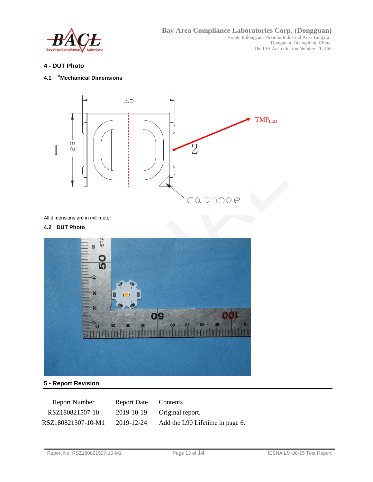

#### **4 - DUT Photo**

#### **4.1 #Mechanical Dimensions**



All dimensions are in millimeter

#### **4.2 DUT Photo**



#### **5 - Report Revision**

| <b>Report Number</b> | Report Date Contents |                                 |
|----------------------|----------------------|---------------------------------|
| RSZ180821507-10      |                      | 2019-10-19 Original report.     |
| RSZ180821507-10-M1   | 2019-12-24           | Add the L90 Lifetime in page 6. |